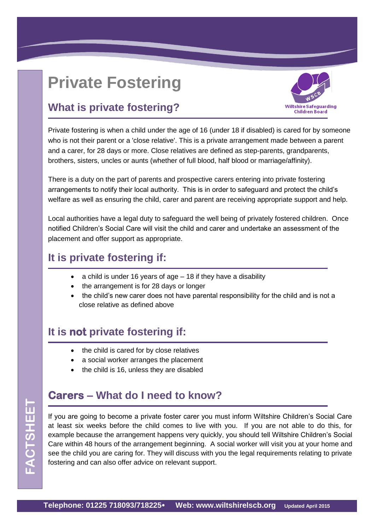# **Private Fostering**



# **What is private fostering?**

Private fostering is when a child under the age of 16 (under 18 if disabled) is cared for by someone who is not their parent or a 'close relative'. This is a private arrangement made between a parent and a carer, for 28 days or more. Close relatives are defined as step-parents, grandparents, brothers, sisters, uncles or aunts (whether of full blood, half blood or marriage/affinity).

There is a duty on the part of parents and prospective carers entering into private fostering arrangements to notify their local authority. This is in order to safeguard and protect the child's welfare as well as ensuring the child, carer and parent are receiving appropriate support and help.

Local authorities have a legal duty to safeguard the well being of privately fostered children. Once notified Children's Social Care will visit the child and carer and undertake an assessment of the placement and offer support as appropriate.

### **It is private fostering if:**

- a child is under 16 years of age 18 if they have a disability
- the arrangement is for 28 days or longer
- the child's new carer does not have parental responsibility for the child and is not a close relative as defined above

# **It is not private fostering if:**

- the child is cared for by close relatives
- a social worker arranges the placement
- the child is 16, unless they are disabled

# **Carers – What do I need to know?**

If you are going to become a private foster carer you must inform Wiltshire Children's Social Care at least six weeks before the child comes to live with you. If you are not able to do this, for example because the arrangement happens very quickly, you should tell Wiltshire Children's Social Care within 48 hours of the arrangement beginning. A social worker will visit you at your home and see the child you are caring for. They will discuss with you the legal requirements relating to private fostering and can also offer advice on relevant support.